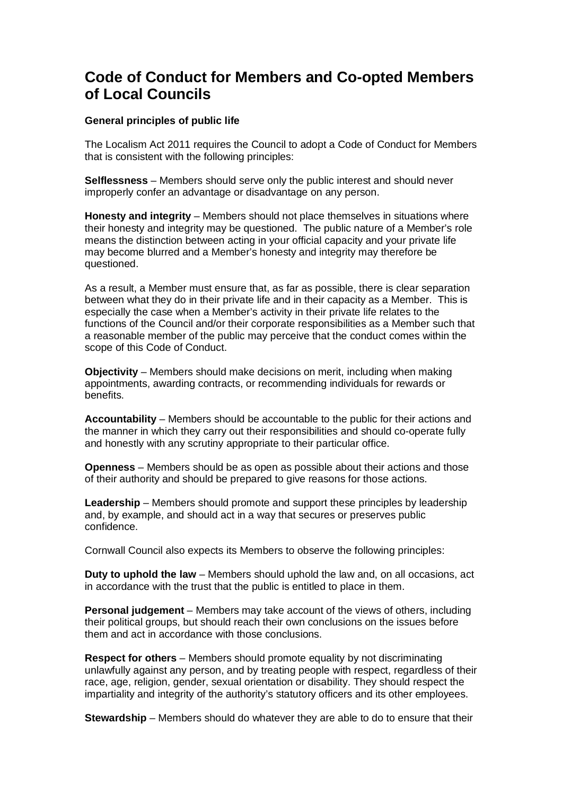# **Code of Conduct for Members and Co-opted Members of Local Councils**

### **General principles of public life**

The Localism Act 2011 requires the Council to adopt a Code of Conduct for Members that is consistent with the following principles:

**Selflessness** – Members should serve only the public interest and should never improperly confer an advantage or disadvantage on any person.

**Honesty and integrity** – Members should not place themselves in situations where their honesty and integrity may be questioned. The public nature of a Member's role means the distinction between acting in your official capacity and your private life may become blurred and a Member's honesty and integrity may therefore be questioned.

As a result, a Member must ensure that, as far as possible, there is clear separation between what they do in their private life and in their capacity as a Member. This is especially the case when a Member's activity in their private life relates to the functions of the Council and/or their corporate responsibilities as a Member such that a reasonable member of the public may perceive that the conduct comes within the scope of this Code of Conduct.

**Objectivity** – Members should make decisions on merit, including when making appointments, awarding contracts, or recommending individuals for rewards or benefits.

**Accountability** – Members should be accountable to the public for their actions and the manner in which they carry out their responsibilities and should co-operate fully and honestly with any scrutiny appropriate to their particular office.

**Openness** – Members should be as open as possible about their actions and those of their authority and should be prepared to give reasons for those actions.

**Leadership** – Members should promote and support these principles by leadership and, by example, and should act in a way that secures or preserves public confidence.

Cornwall Council also expects its Members to observe the following principles:

**Duty to uphold the law** – Members should uphold the law and, on all occasions, act in accordance with the trust that the public is entitled to place in them.

**Personal judgement** – Members may take account of the views of others, including their political groups, but should reach their own conclusions on the issues before them and act in accordance with those conclusions.

**Respect for others** – Members should promote equality by not discriminating unlawfully against any person, and by treating people with respect, regardless of their race, age, religion, gender, sexual orientation or disability. They should respect the impartiality and integrity of the authority's statutory officers and its other employees.

**Stewardship** – Members should do whatever they are able to do to ensure that their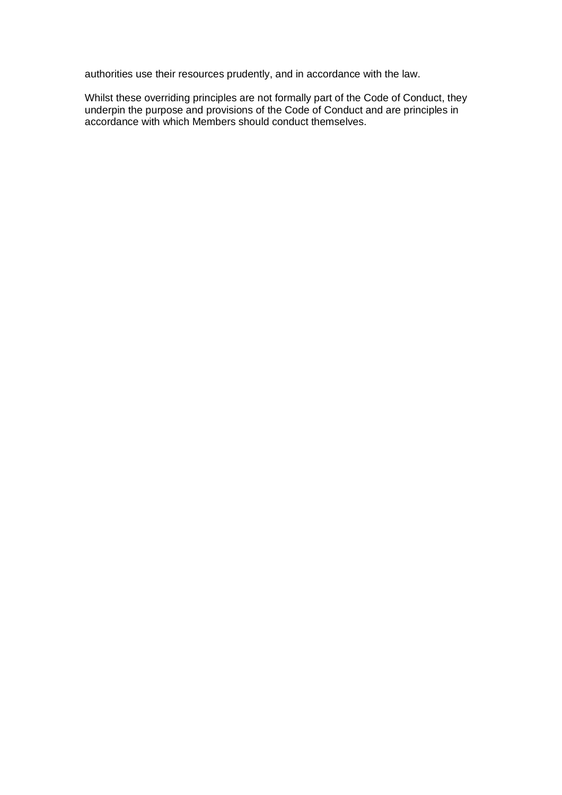authorities use their resources prudently, and in accordance with the law.

Whilst these overriding principles are not formally part of the Code of Conduct, they underpin the purpose and provisions of the Code of Conduct and are principles in accordance with which Members should conduct themselves.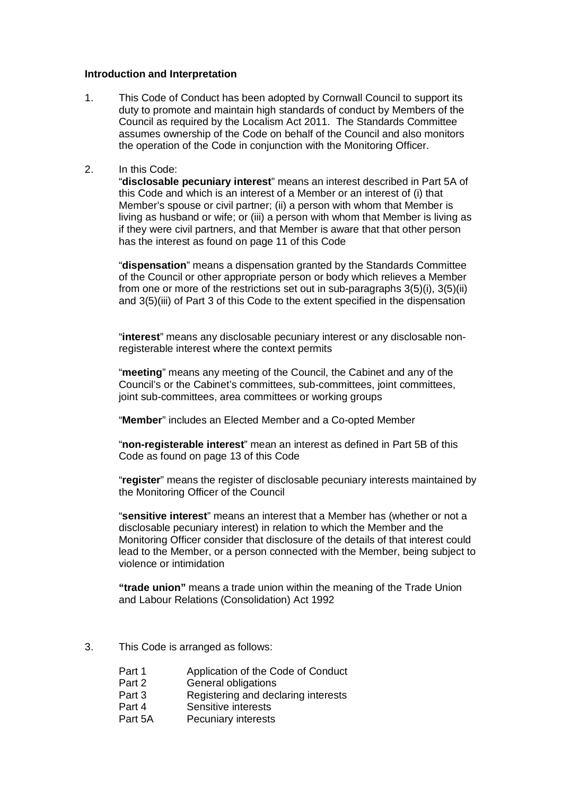#### **Introduction and Interpretation**

- 1. This Code of Conduct has been adopted by Cornwall Council to support its duty to promote and maintain high standards of conduct by Members of the Council as required by the Localism Act 2011. The Standards Committee assumes ownership of the Code on behalf of the Council and also monitors the operation of the Code in conjunction with the Monitoring Officer.
- 2. In this Code:

"**disclosable pecuniary interest**" means an interest described in Part 5A of this Code and which is an interest of a Member or an interest of (i) that Member's spouse or civil partner; (ii) a person with whom that Member is living as husband or wife; or (iii) a person with whom that Member is living as if they were civil partners, and that Member is aware that that other person has the interest as found on page 11 of this Code

"**dispensation**" means a dispensation granted by the Standards Committee of the Council or other appropriate person or body which relieves a Member from one or more of the restrictions set out in sub-paragraphs 3(5)(i), 3(5)(ii) and 3(5)(iii) of Part 3 of this Code to the extent specified in the dispensation

"**interest**" means any disclosable pecuniary interest or any disclosable nonregisterable interest where the context permits

"**meeting**" means any meeting of the Council, the Cabinet and any of the Council's or the Cabinet's committees, sub-committees, joint committees, joint sub-committees, area committees or working groups

"**Member**" includes an Elected Member and a Co-opted Member

"**non-registerable interest**" mean an interest as defined in Part 5B of this Code as found on page 13 of this Code

"**register**" means the register of disclosable pecuniary interests maintained by the Monitoring Officer of the Council

"**sensitive interest**" means an interest that a Member has (whether or not a disclosable pecuniary interest) in relation to which the Member and the Monitoring Officer consider that disclosure of the details of that interest could lead to the Member, or a person connected with the Member, being subject to violence or intimidation

**"trade union"** means a trade union within the meaning of the Trade Union and Labour Relations (Consolidation) Act 1992

- 3. This Code is arranged as follows:
	- Part 1 Application of the Code of Conduct<br>Part 2 General obligations
	- **General obligations**
	- Part 3 Registering and declaring interests
	- Part 4 Sensitive interests
	- Part 5A Pecuniary interests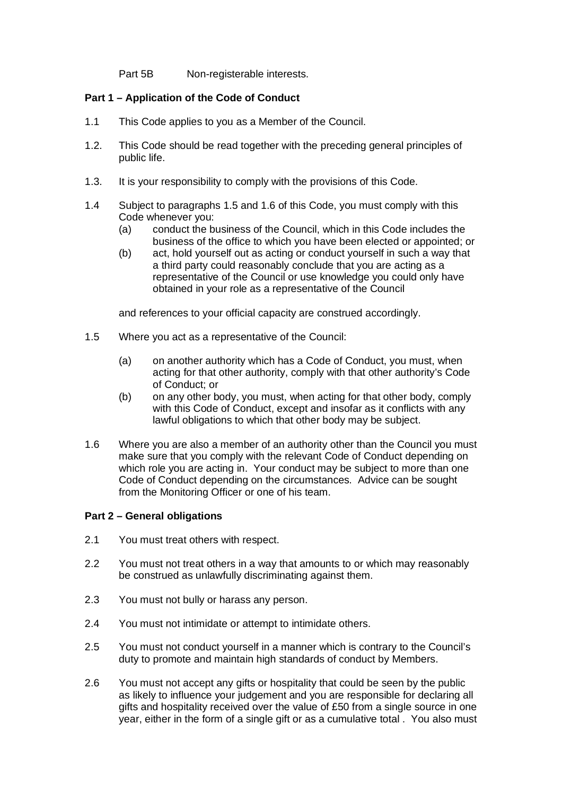Part 5B Non-registerable interests.

### **Part 1 – Application of the Code of Conduct**

- 1.1 This Code applies to you as a Member of the Council.
- 1.2. This Code should be read together with the preceding general principles of public life.
- 1.3. It is your responsibility to comply with the provisions of this Code.
- 1.4 Subject to paragraphs 1.5 and 1.6 of this Code, you must comply with this Code whenever you:
	- (a) conduct the business of the Council, which in this Code includes the business of the office to which you have been elected or appointed; or
	- (b) act, hold yourself out as acting or conduct yourself in such a way that a third party could reasonably conclude that you are acting as a representative of the Council or use knowledge you could only have obtained in your role as a representative of the Council

and references to your official capacity are construed accordingly.

- 1.5 Where you act as a representative of the Council:
	- (a) on another authority which has a Code of Conduct, you must, when acting for that other authority, comply with that other authority's Code of Conduct; or
	- (b) on any other body, you must, when acting for that other body, comply with this Code of Conduct, except and insofar as it conflicts with any lawful obligations to which that other body may be subject.
- 1.6 Where you are also a member of an authority other than the Council you must make sure that you comply with the relevant Code of Conduct depending on which role you are acting in. Your conduct may be subject to more than one Code of Conduct depending on the circumstances. Advice can be sought from the Monitoring Officer or one of his team.

### **Part 2 – General obligations**

- 2.1 You must treat others with respect.
- 2.2 You must not treat others in a way that amounts to or which may reasonably be construed as unlawfully discriminating against them.
- 2.3 You must not bully or harass any person.
- 2.4 You must not intimidate or attempt to intimidate others.
- 2.5 You must not conduct yourself in a manner which is contrary to the Council's duty to promote and maintain high standards of conduct by Members.
- 2.6 You must not accept any gifts or hospitality that could be seen by the public as likely to influence your judgement and you are responsible for declaring all gifts and hospitality received over the value of £50 from a single source in one year, either in the form of a single gift or as a cumulative total . You also must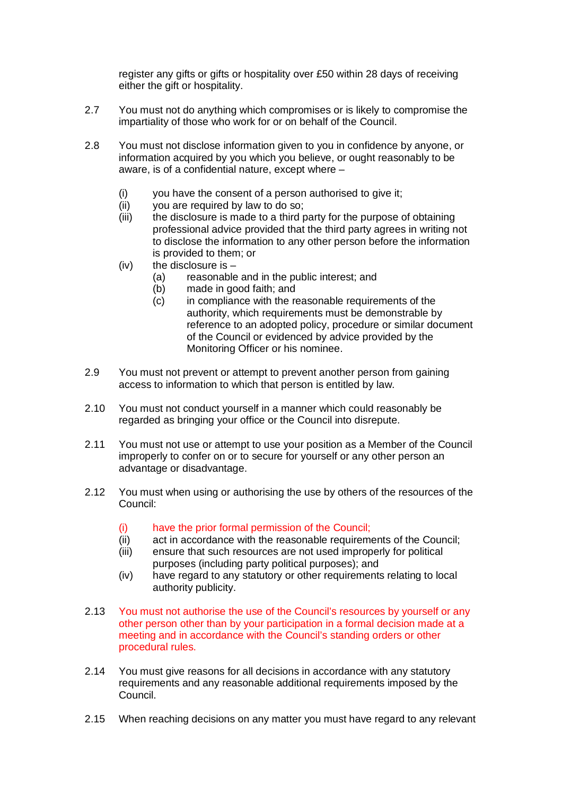register any gifts or gifts or hospitality over £50 within 28 days of receiving either the gift or hospitality.

- 2.7 You must not do anything which compromises or is likely to compromise the impartiality of those who work for or on behalf of the Council.
- 2.8 You must not disclose information given to you in confidence by anyone, or information acquired by you which you believe, or ought reasonably to be aware, is of a confidential nature, except where –
	- (i) you have the consent of a person authorised to give it;
	- (ii) you are required by law to do so;
	- (iii) the disclosure is made to a third party for the purpose of obtaining professional advice provided that the third party agrees in writing not to disclose the information to any other person before the information is provided to them; or
	- $(iv)$  the disclosure is
		- (a) reasonable and in the public interest; and
		- (b) made in good faith; and
		- (c) in compliance with the reasonable requirements of the authority, which requirements must be demonstrable by reference to an adopted policy, procedure or similar document of the Council or evidenced by advice provided by the Monitoring Officer or his nominee.
- 2.9 You must not prevent or attempt to prevent another person from gaining access to information to which that person is entitled by law.
- 2.10 You must not conduct yourself in a manner which could reasonably be regarded as bringing your office or the Council into disrepute.
- 2.11 You must not use or attempt to use your position as a Member of the Council improperly to confer on or to secure for yourself or any other person an advantage or disadvantage.
- 2.12 You must when using or authorising the use by others of the resources of the Council:
	- (i) have the prior formal permission of the Council;
	- (ii) act in accordance with the reasonable requirements of the Council;
	- (iii) ensure that such resources are not used improperly for political purposes (including party political purposes); and
	- (iv) have regard to any statutory or other requirements relating to local authority publicity.
- 2.13 You must not authorise the use of the Council's resources by yourself or any other person other than by your participation in a formal decision made at a meeting and in accordance with the Council's standing orders or other procedural rules.
- 2.14 You must give reasons for all decisions in accordance with any statutory requirements and any reasonable additional requirements imposed by the Council.
- 2.15 When reaching decisions on any matter you must have regard to any relevant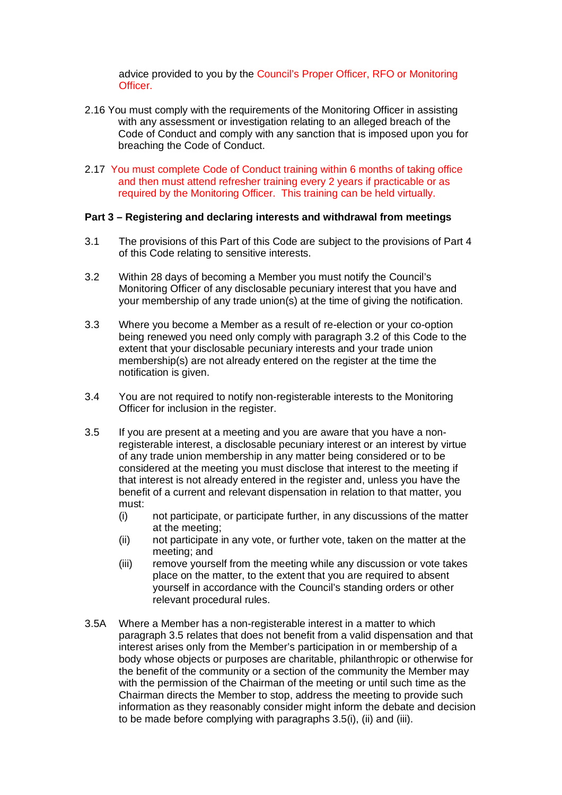advice provided to you by the Council's Proper Officer, RFO or Monitoring **Officer** 

- 2.16 You must comply with the requirements of the Monitoring Officer in assisting with any assessment or investigation relating to an alleged breach of the Code of Conduct and comply with any sanction that is imposed upon you for breaching the Code of Conduct.
- 2.17 You must complete Code of Conduct training within 6 months of taking office and then must attend refresher training every 2 years if practicable or as required by the Monitoring Officer. This training can be held virtually.

#### **Part 3 – Registering and declaring interests and withdrawal from meetings**

- 3.1 The provisions of this Part of this Code are subject to the provisions of Part 4 of this Code relating to sensitive interests.
- 3.2 Within 28 days of becoming a Member you must notify the Council's Monitoring Officer of any disclosable pecuniary interest that you have and your membership of any trade union(s) at the time of giving the notification.
- 3.3 Where you become a Member as a result of re-election or your co-option being renewed you need only comply with paragraph 3.2 of this Code to the extent that your disclosable pecuniary interests and your trade union membership(s) are not already entered on the register at the time the notification is given.
- 3.4 You are not required to notify non-registerable interests to the Monitoring Officer for inclusion in the register.
- 3.5 If you are present at a meeting and you are aware that you have a nonregisterable interest, a disclosable pecuniary interest or an interest by virtue of any trade union membership in any matter being considered or to be considered at the meeting you must disclose that interest to the meeting if that interest is not already entered in the register and, unless you have the benefit of a current and relevant dispensation in relation to that matter, you must:
	- (i) not participate, or participate further, in any discussions of the matter at the meeting;
	- (ii) not participate in any vote, or further vote, taken on the matter at the meeting; and
	- (iii) remove yourself from the meeting while any discussion or vote takes place on the matter, to the extent that you are required to absent yourself in accordance with the Council's standing orders or other relevant procedural rules.
- 3.5A Where a Member has a non-registerable interest in a matter to which paragraph 3.5 relates that does not benefit from a valid dispensation and that interest arises only from the Member's participation in or membership of a body whose objects or purposes are charitable, philanthropic or otherwise for the benefit of the community or a section of the community the Member may with the permission of the Chairman of the meeting or until such time as the Chairman directs the Member to stop, address the meeting to provide such information as they reasonably consider might inform the debate and decision to be made before complying with paragraphs 3.5(i), (ii) and (iii).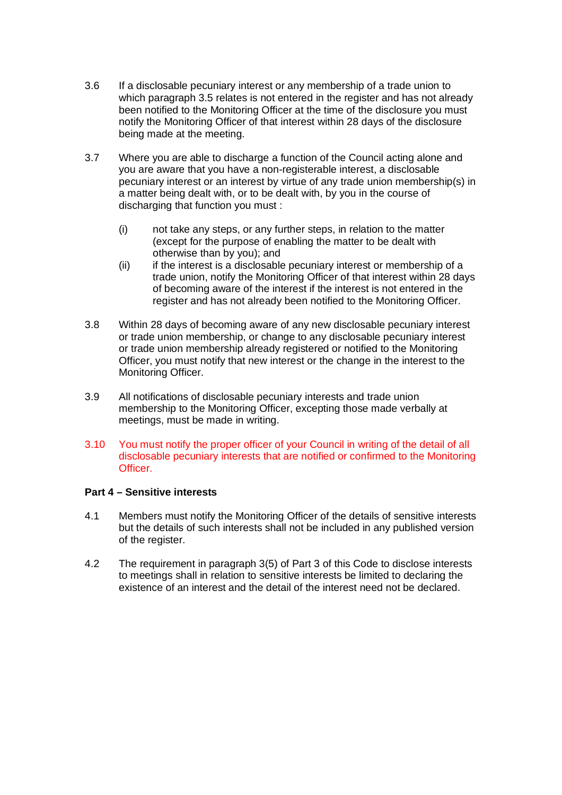- 3.6 If a disclosable pecuniary interest or any membership of a trade union to which paragraph 3.5 relates is not entered in the register and has not already been notified to the Monitoring Officer at the time of the disclosure you must notify the Monitoring Officer of that interest within 28 days of the disclosure being made at the meeting.
- 3.7 Where you are able to discharge a function of the Council acting alone and you are aware that you have a non-registerable interest, a disclosable pecuniary interest or an interest by virtue of any trade union membership(s) in a matter being dealt with, or to be dealt with, by you in the course of discharging that function you must :
	- (i) not take any steps, or any further steps, in relation to the matter (except for the purpose of enabling the matter to be dealt with otherwise than by you); and
	- (ii) if the interest is a disclosable pecuniary interest or membership of a trade union, notify the Monitoring Officer of that interest within 28 days of becoming aware of the interest if the interest is not entered in the register and has not already been notified to the Monitoring Officer.
- 3.8 Within 28 days of becoming aware of any new disclosable pecuniary interest or trade union membership, or change to any disclosable pecuniary interest or trade union membership already registered or notified to the Monitoring Officer, you must notify that new interest or the change in the interest to the Monitoring Officer.
- 3.9 All notifications of disclosable pecuniary interests and trade union membership to the Monitoring Officer, excepting those made verbally at meetings, must be made in writing.
- 3.10 You must notify the proper officer of your Council in writing of the detail of all disclosable pecuniary interests that are notified or confirmed to the Monitoring Officer.

### **Part 4 – Sensitive interests**

- 4.1 Members must notify the Monitoring Officer of the details of sensitive interests but the details of such interests shall not be included in any published version of the register.
- 4.2 The requirement in paragraph 3(5) of Part 3 of this Code to disclose interests to meetings shall in relation to sensitive interests be limited to declaring the existence of an interest and the detail of the interest need not be declared.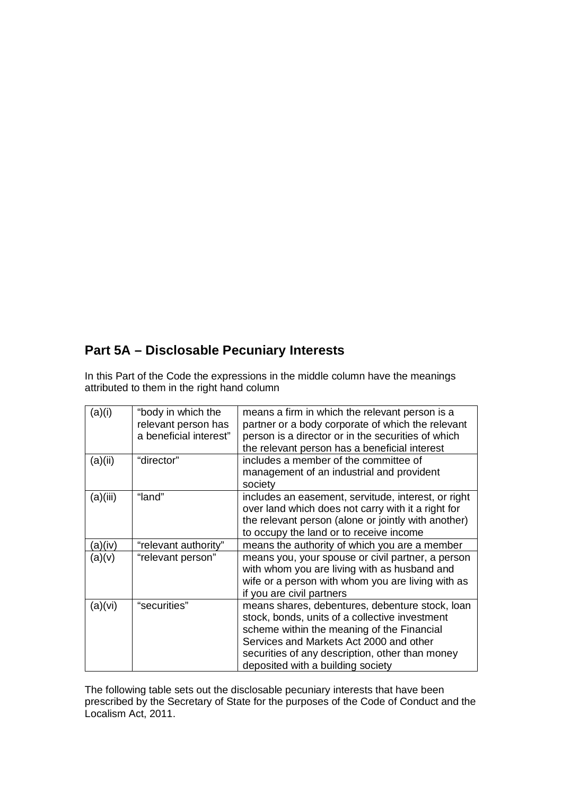# **Part 5A – Disclosable Pecuniary Interests**

In this Part of the Code the expressions in the middle column have the meanings attributed to them in the right hand column

| (a)(i)   | "body in which the<br>relevant person has<br>a beneficial interest" | means a firm in which the relevant person is a<br>partner or a body corporate of which the relevant<br>person is a director or in the securities of which<br>the relevant person has a beneficial interest                                                                         |
|----------|---------------------------------------------------------------------|------------------------------------------------------------------------------------------------------------------------------------------------------------------------------------------------------------------------------------------------------------------------------------|
| (a)(ii)  | "director"                                                          | includes a member of the committee of<br>management of an industrial and provident<br>society                                                                                                                                                                                      |
| (a)(iii) | "land"                                                              | includes an easement, servitude, interest, or right<br>over land which does not carry with it a right for<br>the relevant person (alone or jointly with another)<br>to occupy the land or to receive income                                                                        |
| (a)(iv)  | "relevant authority"                                                | means the authority of which you are a member                                                                                                                                                                                                                                      |
| (a)(v)   | "relevant person"                                                   | means you, your spouse or civil partner, a person<br>with whom you are living with as husband and<br>wife or a person with whom you are living with as<br>if you are civil partners                                                                                                |
| (a)(vi)  | "securities"                                                        | means shares, debentures, debenture stock, loan<br>stock, bonds, units of a collective investment<br>scheme within the meaning of the Financial<br>Services and Markets Act 2000 and other<br>securities of any description, other than money<br>deposited with a building society |

The following table sets out the disclosable pecuniary interests that have been prescribed by the Secretary of State for the purposes of the Code of Conduct and the Localism Act, 2011.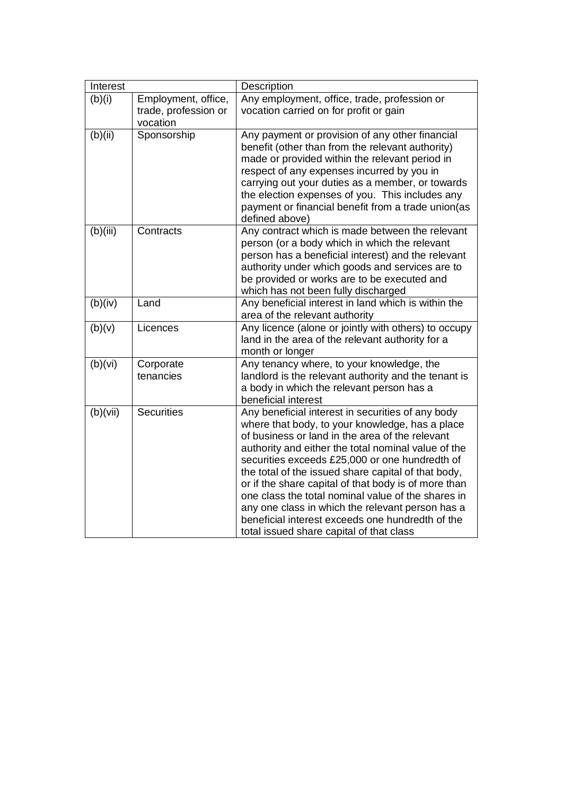| Interest |                                                         | Description                                                                                                                                                                                                                                                                                                                                                                                                                                                                                                                                                                               |  |
|----------|---------------------------------------------------------|-------------------------------------------------------------------------------------------------------------------------------------------------------------------------------------------------------------------------------------------------------------------------------------------------------------------------------------------------------------------------------------------------------------------------------------------------------------------------------------------------------------------------------------------------------------------------------------------|--|
| (b)(i)   | Employment, office,<br>trade, profession or<br>vocation | Any employment, office, trade, profession or<br>vocation carried on for profit or gain                                                                                                                                                                                                                                                                                                                                                                                                                                                                                                    |  |
| (b)(ii)  | Sponsorship                                             | Any payment or provision of any other financial<br>benefit (other than from the relevant authority)<br>made or provided within the relevant period in<br>respect of any expenses incurred by you in<br>carrying out your duties as a member, or towards<br>the election expenses of you. This includes any<br>payment or financial benefit from a trade union(as<br>defined above)                                                                                                                                                                                                        |  |
| (b)(iii) | Contracts                                               | Any contract which is made between the relevant<br>person (or a body which in which the relevant<br>person has a beneficial interest) and the relevant<br>authority under which goods and services are to<br>be provided or works are to be executed and<br>which has not been fully discharged                                                                                                                                                                                                                                                                                           |  |
| (b)(iv)  | Land                                                    | Any beneficial interest in land which is within the<br>area of the relevant authority                                                                                                                                                                                                                                                                                                                                                                                                                                                                                                     |  |
| (b)(v)   | Licences                                                | Any licence (alone or jointly with others) to occupy<br>land in the area of the relevant authority for a<br>month or longer                                                                                                                                                                                                                                                                                                                                                                                                                                                               |  |
| (b)(vi)  | Corporate<br>tenancies                                  | Any tenancy where, to your knowledge, the<br>landlord is the relevant authority and the tenant is<br>a body in which the relevant person has a<br>beneficial interest                                                                                                                                                                                                                                                                                                                                                                                                                     |  |
| (b)(vii) | <b>Securities</b>                                       | Any beneficial interest in securities of any body<br>where that body, to your knowledge, has a place<br>of business or land in the area of the relevant<br>authority and either the total nominal value of the<br>securities exceeds £25,000 or one hundredth of<br>the total of the issued share capital of that body,<br>or if the share capital of that body is of more than<br>one class the total nominal value of the shares in<br>any one class in which the relevant person has a<br>beneficial interest exceeds one hundredth of the<br>total issued share capital of that class |  |